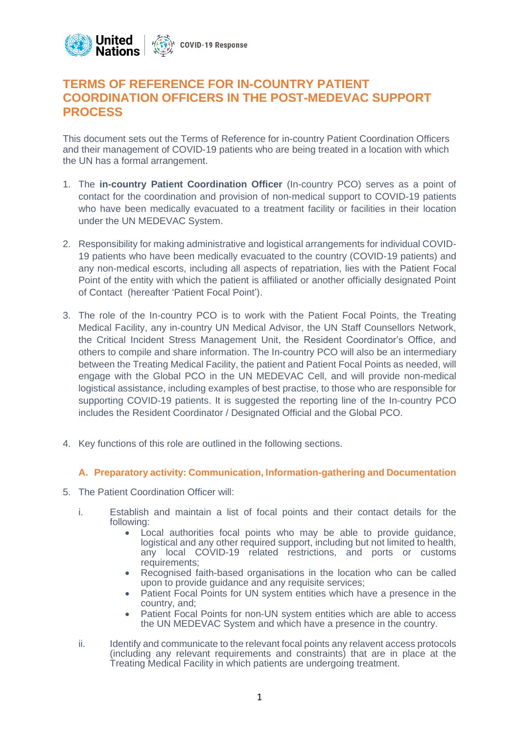

# **TERMS OF REFERENCE FOR IN-COUNTRY PATIENT COORDINATION OFFICERS IN THE POST-MEDEVAC SUPPORT PROCESS**

This document sets out the Terms of Reference for in-country Patient Coordination Officers and their management of COVID-19 patients who are being treated in a location with which the UN has a formal arrangement.

- 1. The **in-country Patient Coordination Officer** (In-country PCO) serves as a point of contact for the coordination and provision of non-medical support to COVID-19 patients who have been medically evacuated to a treatment facility or facilities in their location under the UN MEDEVAC System.
- 2. Responsibility for making administrative and logistical arrangements for individual COVID-19 patients who have been medically evacuated to the country (COVID-19 patients) and any non-medical escorts, including all aspects of repatriation, lies with the Patient Focal Point of the entity with which the patient is affiliated or another officially designated Point of Contact (hereafter 'Patient Focal Point').
- 3. The role of the In-country PCO is to work with the Patient Focal Points, the Treating Medical Facility, any in-country UN Medical Advisor, the UN Staff Counsellors Network, the Critical Incident Stress Management Unit, the Resident Coordinator's Office, and others to compile and share information. The In-country PCO will also be an intermediary between the Treating Medical Facility, the patient and Patient Focal Points as needed, will engage with the Global PCO in the UN MEDEVAC Cell, and will provide non-medical logistical assistance, including examples of best practise, to those who are responsible for supporting COVID-19 patients. It is suggested the reporting line of the In-country PCO includes the Resident Coordinator / Designated Official and the Global PCO.
- 4. Key functions of this role are outlined in the following sections.

### **A. Preparatory activity: Communication, Information-gathering and Documentation**

- 5. The Patient Coordination Officer will:
	- i. Establish and maintain a list of focal points and their contact details for the following:
		- Local authorities focal points who may be able to provide guidance, logistical and any other required support, including but not limited to health, any local COVID-19 related restrictions, and ports or customs requirements;
		- Recognised faith-based organisations in the location who can be called upon to provide guidance and any requisite services;
		- Patient Focal Points for UN system entities which have a presence in the country, and;
		- Patient Focal Points for non-UN system entities which are able to access the UN MEDEVAC System and which have a presence in the country.
	- ii. Identify and communicate to the relevant focal points any relavent access protocols (including any relevant requirements and constraints) that are in place at the Treating Medical Facility in which patients are undergoing treatment.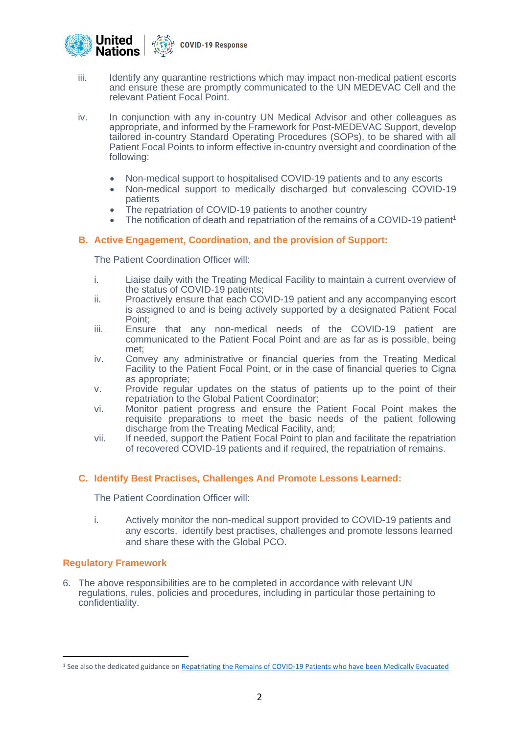

- iii. Identify any quarantine restrictions which may impact non-medical patient escorts and ensure these are promptly communicated to the UN MEDEVAC Cell and the relevant Patient Focal Point.
- iv. In conjunction with any in-country UN Medical Advisor and other colleagues as appropriate, and informed by the Framework for Post-MEDEVAC Support, develop tailored in-country Standard Operating Procedures (SOPs), to be shared with all Patient Focal Points to inform effective in-country oversight and coordination of the following:
	- Non-medical support to hospitalised COVID-19 patients and to any escorts
	- Non-medical support to medically discharged but convalescing COVID-19 patients
	- The repatriation of COVID-19 patients to another country
	- The notification of death and repatriation of the remains of a COVID-19 patient<sup>1</sup>

### **B. Active Engagement, Coordination, and the provision of Support:**

The Patient Coordination Officer will:

- i. Liaise daily with the Treating Medical Facility to maintain a current overview of the status of COVID-19 patients;
- ii. Proactively ensure that each COVID-19 patient and any accompanying escort is assigned to and is being actively supported by a designated Patient Focal Point;
- iii. Ensure that any non-medical needs of the COVID-19 patient are communicated to the Patient Focal Point and are as far as is possible, being met;
- iv. Convey any administrative or financial queries from the Treating Medical Facility to the Patient Focal Point, or in the case of financial queries to Cigna as appropriate;
- v. Provide regular updates on the status of patients up to the point of their repatriation to the Global Patient Coordinator;
- vi. Monitor patient progress and ensure the Patient Focal Point makes the requisite preparations to meet the basic needs of the patient following discharge from the Treating Medical Facility, and;
- vii. If needed, support the Patient Focal Point to plan and facilitate the repatriation of recovered COVID-19 patients and if required, the repatriation of remains.

### **C. Identify Best Practises, Challenges And Promote Lessons Learned:**

The Patient Coordination Officer will:

i. Actively monitor the non-medical support provided to COVID-19 patients and any escorts, identify best practises, challenges and promote lessons learned and share these with the Global PCO.

#### **Regulatory Framework**

6. The above responsibilities are to be completed in accordance with relevant UN regulations, rules, policies and procedures, including in particular those pertaining to confidentiality.

<sup>&</sup>lt;sup>1</sup> See also the dedicated guidance o[n Repatriating the Remains of COVID-19 Patients who have been Medically Evacuated](https://www.un.org/sites/un2.un.org/files/sop_framework_covid-19_repatriation_of_remains.pdf)